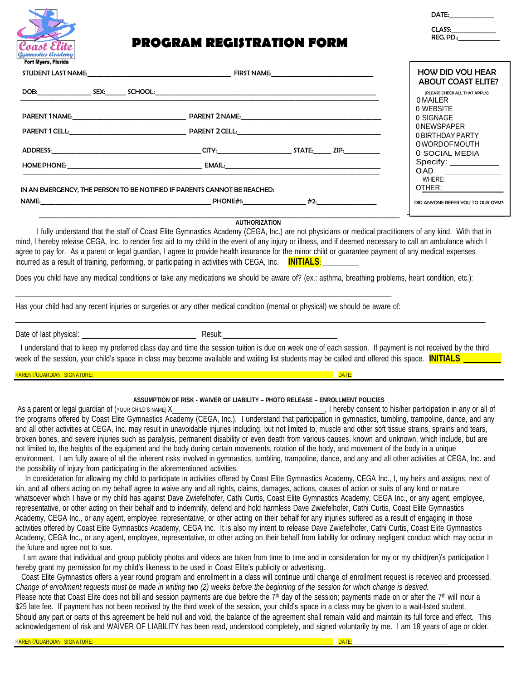

## **PROGRAM REGISTRATION FORM**

| <b>DAIL:</b> |  |
|--------------|--|
|              |  |
| CLASS:       |  |
| RFG DD.      |  |

 $DATE$ 

\_\_\_\_\_\_\_\_\_\_\_\_\_\_\_\_\_\_\_\_\_\_\_**MEDICAL**

\_\_\_\_\_\_\_\_\_\_\_\_\_\_\_\_\_\_\_\_\_\_\_\_\_\_\_\_\_\_\_\_\_\_\_\_\_\_\_\_\_\_

| STUDENT LAST NAME: University of the state of the state of the state of the state of the state of the state of the state of the state of the state of the state of the state of the state of the state of the state of the sta |                                                                                                                                                                                                                                                                                                                                                                                                                                                                                                                                   | <b>HOW DID YOU HEAR</b><br><b>ABOUT COAST ELITE?</b>                                                                     |
|--------------------------------------------------------------------------------------------------------------------------------------------------------------------------------------------------------------------------------|-----------------------------------------------------------------------------------------------------------------------------------------------------------------------------------------------------------------------------------------------------------------------------------------------------------------------------------------------------------------------------------------------------------------------------------------------------------------------------------------------------------------------------------|--------------------------------------------------------------------------------------------------------------------------|
| DOB: SEX:                                                                                                                                                                                                                      |                                                                                                                                                                                                                                                                                                                                                                                                                                                                                                                                   | (PLEASE CHECK ALL THAT APPLY)<br>0 MAILER                                                                                |
|                                                                                                                                                                                                                                | PARENT 1NAME: NAME: A PARENT 1NAME:<br>PARENT 1 CELL: PARENT 2 CELL:                                                                                                                                                                                                                                                                                                                                                                                                                                                              | 0 WEBSITE<br>0 SIGNAGE<br>0NEWSPAPER<br>0 BIRTHDAY PARTY<br><b>OWORDOFMOUTH</b><br>0 SOCIAL MEDIA<br>Specify: __________ |
|                                                                                                                                                                                                                                | ADDRESS:                     CITY:         STATE:   ZIP:<br><b>EMAIL:</b> The contract of the contract of the contract of the contract of the contract of the contract of the contract of the contract of the contract of the contract of the contract of the contract of the contract of the c<br>HOME PHONE: The contract of the contract of the contract of the contract of the contract of the contract of the contract of the contract of the contract of the contract of the contract of the contract of the contract of th |                                                                                                                          |
|                                                                                                                                                                                                                                | IN AN EMERGENCY, THE PERSON TO BE NOTIFIED IF PARENTS CANNOT BE REACHED:<br>NAME:                                                                                                                                                                                                                                                                                                                                                                                                                                                 | OAD<br>WHERE:<br>OTHER:<br>DID ANYONE REFER YOU TO OUR GYM?:                                                             |

#### **AUTHORIZATION**

I fully understand that the staff of Coast Elite Gymnastics Academy (CEGA, Inc.) are not physicians or medical practitioners of any kind. With that in mind, I hereby release CEGA, Inc. to render first aid to my child in the event of any injury or illness, and if deemed necessary to call an ambulance which I agree to pay for. As a parent or legal guardian, I agree to provide health insurance for the minor child or guarantee payment of any medical expenses incurred as a result of training, performing, or participating in activities with CEGA, Inc. **INITIALS**:

Does you child have any medical conditions or take any medications we should be aware of? (ex.: asthma, breathing problems, heart condition, etc.):

Has your child had any recent injuries or surgeries or *any* other medical condition (mental or physical) we should be aware of:

Date of last physical: **Result:** Result:

I understand that to keep my preferred class day and time the session tuition is due on week one of each session. If payment is not received by the third week of the session, your child's space in class may become available and waiting list students may be called and offered this space. **INITIALS**:

PARENT/GUARDIAN SIGNATURE:

#### **ASSUMPTION OF RISK - WAIVER OF LIABILITY – PHOTO RELEASE – ENROLLMENT POLICIES**

As a parent or legal guardian of (YOUR CHILD'S NAME) X , I hereby consent to his/her participation in any or all of the programs offered by Coast Elite Gymnastics Academy (CEGA, Inc.). I understand that participation in gymnastics, tumbling, trampoline, dance, and any and all other activities at CEGA, Inc. may result in unavoidable injuries including, but not limited to, muscle and other soft tissue strains, sprains and tears, broken bones, and severe injuries such as paralysis, permanent disability or even death from various causes, known and unknown, which include, but are not limited to, the heights of the equipment and the body during certain movements, rotation of the body, and movement of the body in a unique environment. I am fully aware of all the inherent risks involved in gymnastics, tumbling, trampoline, dance, and any and all other activities at CEGA, Inc. and the possibility of injury from participating in the aforementioned activities.

In consideration for allowing my child to participate in activities offered by Coast Elite Gymnastics Academy, CEGA Inc., I, my heirs and assigns, next of kin, and all others acting on my behalf agree to waive any and all rights, claims, damages, actions, causes of action or suits of any kind or nature whatsoever which I have or my child has against Dave Zwiefelhofer, Cathi Curtis, Coast Elite Gymnastics Academy, CEGA Inc., or any agent, employee, representative, or other acting on their behalf and to indemnify, defend and hold harmless Dave Zwiefelhofer, Cathi Curtis, Coast Elite Gymnastics Academy, CEGA Inc., or any agent, employee, representative, or other acting on their behalf for any injuries suffered as a result of engaging in those activities offered by Coast Elite Gymnastics Academy, CEGA Inc. It is also my intent to release Dave Zwiefelhofer, Cathi Curtis, Coast Elite Gymnastics Academy, CEGA Inc., or any agent, employee, representative, or other acting on their behalf from liability for ordinary negligent conduct which may occur in the future and agree not to sue.

I am aware that individual and group publicity photos and videos are taken from time to time and in consideration for my or my child(ren)'s participation I hereby grant my permission for my child's likeness to be used in Coast Elite's publicity or advertising.

Coast Elite Gymnastics offers a year round program and enrollment in a class will continue until change of enrollment request is received and processed. Change of enrollment requests must be made in writing two (2) weeks before the beginning of the session for which change is desired. Please note that Coast Elite does not bill and session payments are due before the 7<sup>th</sup> day of the session; payments made on or after the 7<sup>th</sup> will incur a \$25 late fee. If payment has not been received by the third week of the session, your child's space in a class may be given to a wait-listed student. Should any part or parts of this agreement be held null and void, the balance of the agreement shall remain valid and maintain its full force and effect. This

acknowledgement of risk and WAIVER OF LIABILITY has been read, understood completely, and signed voluntarily by me. I am 18 years of age or older.